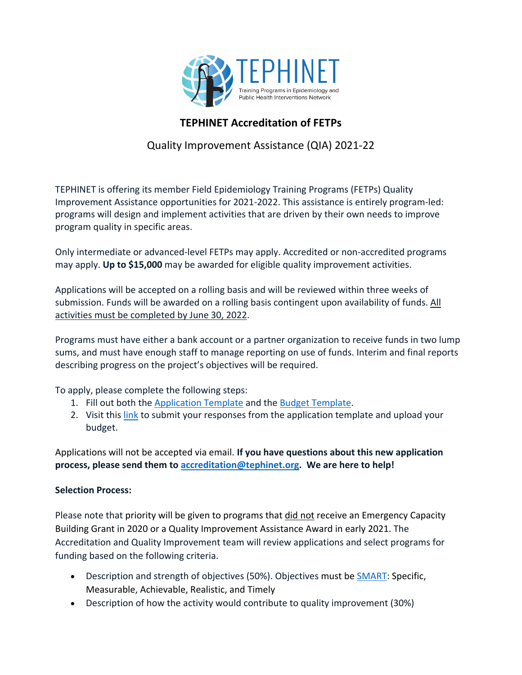

## **TEPHINET Accreditation of FETPs**

## Quality Improvement Assistance (QIA) 2021-22

TEPHINET is offering its member Field Epidemiology Training Programs (FETPs) Quality Improvement Assistance opportunities for 2021-2022. This assistance is entirely program-led: programs will design and implement activities that are driven by their own needs to improve program quality in specific areas.

Only intermediate or advanced-level FETPs may apply. Accredited or non-accredited programs may apply. **Up to \$15,000** may be awarded for eligible quality improvement activities.

Applications will be accepted on a rolling basis and will be reviewed within three weeks of submission. Funds will be awarded on a rolling basis contingent upon availability of funds. All activities must be completed by June 30, 2022.

Programs must have either a bank account or a partner organization to receive funds in two lump sums, and must have enough staff to manage reporting on use of funds. Interim and final reports describing progress on the project's objectives will be required.

To apply, please complete the following steps:

- 1. Fill out both the [Application Template](https://docs.google.com/document/d/1GVtFd9YlZTFBN4k9GWtvb-HM_3DKJ5ck/edit?usp=sharing&ouid=105833136266175640973&rtpof=true&sd=true) and the [Budget Template.](https://docs.google.com/spreadsheets/d/1lUzxyps3MNe4iyeyPBA66qChJSn-WD3D/edit?usp=sharing&ouid=105833136266175640973&rtpof=true&sd=true)
- 2. Visit this [link](https://app.smartsheet.com/b/form/63bc5da2a0204d3b932391709dcf0a31) to submit your responses from the application template and upload your budget.

Applications will not be accepted via email. **If you have questions about this new application process, please send them to [accreditation@tephinet.org.](mailto:accreditation@tephinet.org) We are here to help!**

## **Selection Process:**

Please note that priority will be given to programs that did not receive an Emergency Capacity Building Grant in 2020 or a Quality Improvement Assistance Award in early 2021. The Accreditation and Quality Improvement team will review applications and select programs for funding based on the following criteria.

- Description and strength of objectives (50%). Objectives must be [SMART:](https://www.cdc.gov/phcommunities/resourcekit/evaluate/smart_objectives.html) Specific, Measurable, Achievable, Realistic, and Timely
- Description of how the activity would contribute to quality improvement (30%)